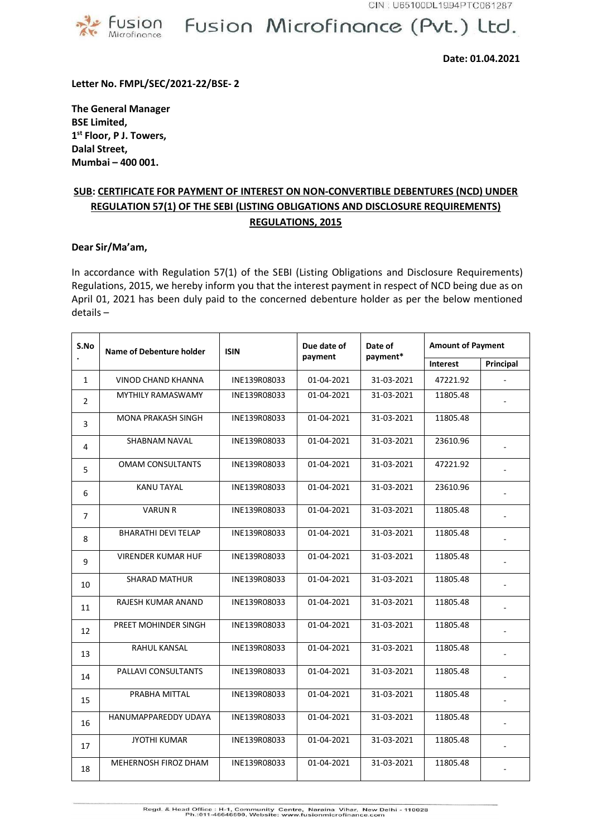

## Fusion Microfinance (Pvt.) Ltd.

**Date: 01.04.2021**

**Letter No. FMPL/SEC/2021-22/BSE- 2**

**The General Manager BSE Limited, 1 st Floor, P J. Towers, Dalal Street, Mumbai – 400 001.**

## **SUB: CERTIFICATE FOR PAYMENT OF INTEREST ON NON-CONVERTIBLE DEBENTURES (NCD) UNDER REGULATION 57(1) OF THE SEBI (LISTING OBLIGATIONS AND DISCLOSURE REQUIREMENTS) REGULATIONS, 2015**

## **Dear Sir/Ma'am,**

In accordance with Regulation 57(1) of the SEBI (Listing Obligations and Disclosure Requirements) Regulations, 2015, we hereby inform you that the interest payment in respect of NCD being due as on April 01, 2021 has been duly paid to the concerned debenture holder as per the below mentioned details –

| S.No<br>$\bullet$ | <b>Name of Debenture holder</b> | <b>ISIN</b>  | Due date of<br>payment   | Date of    | <b>Amount of Payment</b>     |                          |
|-------------------|---------------------------------|--------------|--------------------------|------------|------------------------------|--------------------------|
|                   |                                 |              |                          | payment*   | Principal<br><b>Interest</b> |                          |
| $\mathbf{1}$      | VINOD CHAND KHANNA              | INE139R08033 | 01-04-2021               | 31-03-2021 | 47221.92                     |                          |
| $\overline{2}$    | MYTHILY RAMASWAMY               | INE139R08033 | 01-04-2021               | 31-03-2021 | 11805.48                     |                          |
| 3                 | <b>MONA PRAKASH SINGH</b>       | INE139R08033 | 01-04-2021               | 31-03-2021 | 11805.48                     |                          |
| 4                 | <b>SHABNAM NAVAL</b>            | INE139R08033 | 01-04-2021               | 31-03-2021 | 23610.96                     |                          |
| 5                 | <b>OMAM CONSULTANTS</b>         | INE139R08033 | 01-04-2021               | 31-03-2021 | 47221.92                     |                          |
| 6                 | <b>KANU TAYAL</b>               | INE139R08033 | 01-04-2021               | 31-03-2021 | 23610.96                     |                          |
| $\overline{7}$    | <b>VARUN R</b>                  | INE139R08033 | 01-04-2021               | 31-03-2021 | 11805.48                     |                          |
| 8                 | <b>BHARATHI DEVI TELAP</b>      | INE139R08033 | 01-04-2021               | 31-03-2021 | 11805.48                     | $\sim$                   |
| 9                 | <b>VIRENDER KUMAR HUF</b>       | INE139R08033 | 01-04-2021               | 31-03-2021 | 11805.48                     | $\sim$                   |
| 10                | <b>SHARAD MATHUR</b>            | INE139R08033 | 01-04-2021               | 31-03-2021 | 11805.48                     |                          |
| 11                | RAJESH KUMAR ANAND              | INE139R08033 | 01-04-2021               | 31-03-2021 | 11805.48                     | $\overline{\phantom{a}}$ |
| 12                | PREET MOHINDER SINGH            | INE139R08033 | 01-04-2021               | 31-03-2021 | 11805.48                     |                          |
| 13                | <b>RAHUL KANSAL</b>             | INE139R08033 | 01-04-2021               | 31-03-2021 | 11805.48                     |                          |
| 14                | PALLAVI CONSULTANTS             | INE139R08033 | 01-04-2021               | 31-03-2021 | 11805.48                     |                          |
| 15                | PRABHA MITTAL                   | INE139R08033 | 01-04-2021               | 31-03-2021 | 11805.48                     |                          |
| 16                | HANUMAPPAREDDY UDAYA            | INE139R08033 | 01-04-2021               | 31-03-2021 | 11805.48                     |                          |
| 17                | <b>JYOTHI KUMAR</b>             | INE139R08033 | $\overline{01}$ -04-2021 | 31-03-2021 | 11805.48                     |                          |
| 18                | MEHERNOSH FIROZ DHAM            | INE139R08033 | 01-04-2021               | 31-03-2021 | 11805.48                     |                          |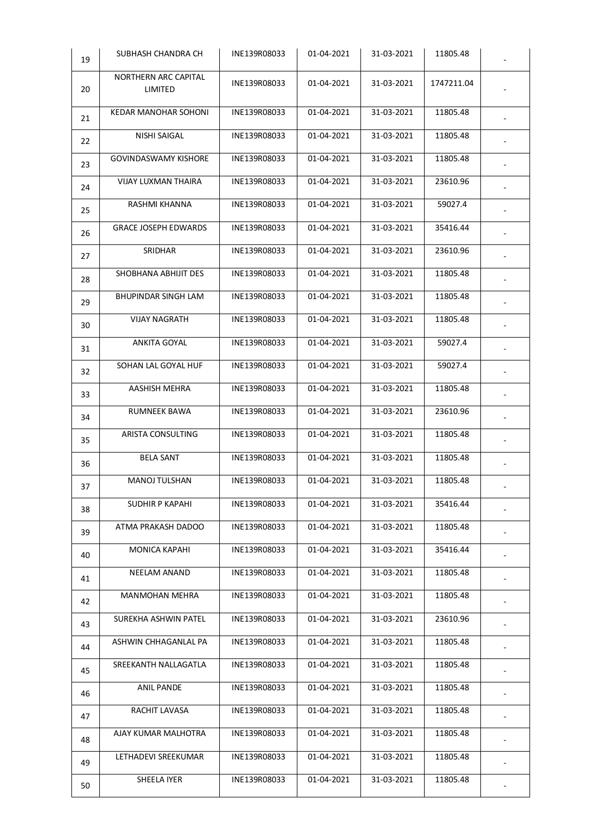| 19 | SUBHASH CHANDRA CH              | INE139R08033 | 01-04-2021 | 31-03-2021 | 11805.48   |  |
|----|---------------------------------|--------------|------------|------------|------------|--|
| 20 | NORTHERN ARC CAPITAL<br>LIMITED | INE139R08033 | 01-04-2021 | 31-03-2021 | 1747211.04 |  |
| 21 | KEDAR MANOHAR SOHONI            | INE139R08033 | 01-04-2021 | 31-03-2021 | 11805.48   |  |
| 22 | NISHI SAIGAL                    | INE139R08033 | 01-04-2021 | 31-03-2021 | 11805.48   |  |
| 23 | <b>GOVINDASWAMY KISHORE</b>     | INE139R08033 | 01-04-2021 | 31-03-2021 | 11805.48   |  |
| 24 | VIJAY LUXMAN THAIRA             | INE139R08033 | 01-04-2021 | 31-03-2021 | 23610.96   |  |
| 25 | RASHMI KHANNA                   | INE139R08033 | 01-04-2021 | 31-03-2021 | 59027.4    |  |
| 26 | <b>GRACE JOSEPH EDWARDS</b>     | INE139R08033 | 01-04-2021 | 31-03-2021 | 35416.44   |  |
| 27 | SRIDHAR                         | INE139R08033 | 01-04-2021 | 31-03-2021 | 23610.96   |  |
| 28 | SHOBHANA ABHIJIT DES            | INE139R08033 | 01-04-2021 | 31-03-2021 | 11805.48   |  |
| 29 | BHUPINDAR SINGH LAM             | INE139R08033 | 01-04-2021 | 31-03-2021 | 11805.48   |  |
| 30 | <b>VIJAY NAGRATH</b>            | INE139R08033 | 01-04-2021 | 31-03-2021 | 11805.48   |  |
| 31 | ANKITA GOYAL                    | INE139R08033 | 01-04-2021 | 31-03-2021 | 59027.4    |  |
| 32 | SOHAN LAL GOYAL HUF             | INE139R08033 | 01-04-2021 | 31-03-2021 | 59027.4    |  |
| 33 | AASHISH MEHRA                   | INE139R08033 | 01-04-2021 | 31-03-2021 | 11805.48   |  |
| 34 | RUMNEEK BAWA                    | INE139R08033 | 01-04-2021 | 31-03-2021 | 23610.96   |  |
| 35 | ARISTA CONSULTING               | INE139R08033 | 01-04-2021 | 31-03-2021 | 11805.48   |  |
| 36 | <b>BELA SANT</b>                | INE139R08033 | 01-04-2021 | 31-03-2021 | 11805.48   |  |
| 37 | <b>MANOJ TULSHAN</b>            | INE139R08033 | 01-04-2021 | 31-03-2021 | 11805.48   |  |
| 38 | SUDHIR P KAPAHI                 | INE139R08033 | 01-04-2021 | 31-03-2021 | 35416.44   |  |
| 39 | ATMA PRAKASH DADOO              | INE139R08033 | 01-04-2021 | 31-03-2021 | 11805.48   |  |
| 40 | MONICA KAPAHI                   | INE139R08033 | 01-04-2021 | 31-03-2021 | 35416.44   |  |
| 41 | NEELAM ANAND                    | INE139R08033 | 01-04-2021 | 31-03-2021 | 11805.48   |  |
| 42 | MANMOHAN MEHRA                  | INE139R08033 | 01-04-2021 | 31-03-2021 | 11805.48   |  |
| 43 | SUREKHA ASHWIN PATEL            | INE139R08033 | 01-04-2021 | 31-03-2021 | 23610.96   |  |
| 44 | ASHWIN CHHAGANLAL PA            | INE139R08033 | 01-04-2021 | 31-03-2021 | 11805.48   |  |
| 45 | SREEKANTH NALLAGATLA            | INE139R08033 | 01-04-2021 | 31-03-2021 | 11805.48   |  |
| 46 | <b>ANIL PANDE</b>               | INE139R08033 | 01-04-2021 | 31-03-2021 | 11805.48   |  |
| 47 | RACHIT LAVASA                   | INE139R08033 | 01-04-2021 | 31-03-2021 | 11805.48   |  |
| 48 | AJAY KUMAR MALHOTRA             | INE139R08033 | 01-04-2021 | 31-03-2021 | 11805.48   |  |
| 49 | LETHADEVI SREEKUMAR             | INE139R08033 | 01-04-2021 | 31-03-2021 | 11805.48   |  |
| 50 | SHEELA IYER                     | INE139R08033 | 01-04-2021 | 31-03-2021 | 11805.48   |  |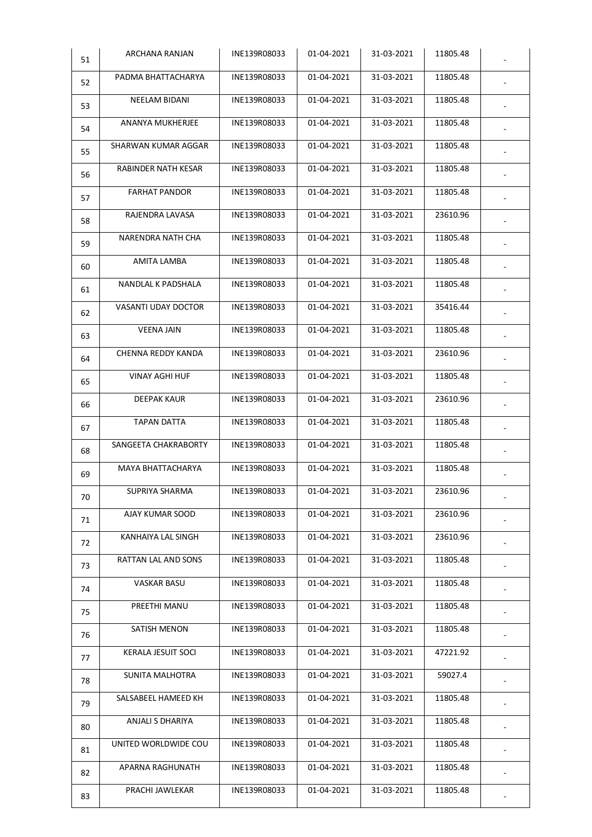| 51 | ARCHANA RANJAN             | INE139R08033 | 01-04-2021 | 31-03-2021 | 11805.48 |  |
|----|----------------------------|--------------|------------|------------|----------|--|
| 52 | PADMA BHATTACHARYA         | INE139R08033 | 01-04-2021 | 31-03-2021 | 11805.48 |  |
| 53 | NEELAM BIDANI              | INE139R08033 | 01-04-2021 | 31-03-2021 | 11805.48 |  |
| 54 | ANANYA MUKHERJEE           | INE139R08033 | 01-04-2021 | 31-03-2021 | 11805.48 |  |
| 55 | SHARWAN KUMAR AGGAR        | INE139R08033 | 01-04-2021 | 31-03-2021 | 11805.48 |  |
| 56 | RABINDER NATH KESAR        | INE139R08033 | 01-04-2021 | 31-03-2021 | 11805.48 |  |
| 57 | <b>FARHAT PANDOR</b>       | INE139R08033 | 01-04-2021 | 31-03-2021 | 11805.48 |  |
| 58 | RAJENDRA LAVASA            | INE139R08033 | 01-04-2021 | 31-03-2021 | 23610.96 |  |
| 59 | NARENDRA NATH CHA          | INE139R08033 | 01-04-2021 | 31-03-2021 | 11805.48 |  |
| 60 | AMITA LAMBA                | INE139R08033 | 01-04-2021 | 31-03-2021 | 11805.48 |  |
| 61 | NANDLAL K PADSHALA         | INE139R08033 | 01-04-2021 | 31-03-2021 | 11805.48 |  |
| 62 | <b>VASANTI UDAY DOCTOR</b> | INE139R08033 | 01-04-2021 | 31-03-2021 | 35416.44 |  |
| 63 | <b>VEENA JAIN</b>          | INE139R08033 | 01-04-2021 | 31-03-2021 | 11805.48 |  |
| 64 | CHENNA REDDY KANDA         | INE139R08033 | 01-04-2021 | 31-03-2021 | 23610.96 |  |
| 65 | VINAY AGHI HUF             | INE139R08033 | 01-04-2021 | 31-03-2021 | 11805.48 |  |
| 66 | DEEPAK KAUR                | INE139R08033 | 01-04-2021 | 31-03-2021 | 23610.96 |  |
| 67 | TAPAN DATTA                | INE139R08033 | 01-04-2021 | 31-03-2021 | 11805.48 |  |
| 68 | SANGEETA CHAKRABORTY       | INE139R08033 | 01-04-2021 | 31-03-2021 | 11805.48 |  |
| 69 | MAYA BHATTACHARYA          | INE139R08033 | 01-04-2021 | 31-03-2021 | 11805.48 |  |
| 70 | SUPRIYA SHARMA             | INE139R08033 | 01-04-2021 | 31-03-2021 | 23610.96 |  |
| 71 | AJAY KUMAR SOOD            | INE139R08033 | 01-04-2021 | 31-03-2021 | 23610.96 |  |
| 72 | KANHAIYA LAL SINGH         | INE139R08033 | 01-04-2021 | 31-03-2021 | 23610.96 |  |
| 73 | RATTAN LAL AND SONS        | INE139R08033 | 01-04-2021 | 31-03-2021 | 11805.48 |  |
| 74 | VASKAR BASU                | INE139R08033 | 01-04-2021 | 31-03-2021 | 11805.48 |  |
| 75 | PREETHI MANU               | INE139R08033 | 01-04-2021 | 31-03-2021 | 11805.48 |  |
| 76 | SATISH MENON               | INE139R08033 | 01-04-2021 | 31-03-2021 | 11805.48 |  |
| 77 | KERALA JESUIT SOCI         | INE139R08033 | 01-04-2021 | 31-03-2021 | 47221.92 |  |
| 78 | SUNITA MALHOTRA            | INE139R08033 | 01-04-2021 | 31-03-2021 | 59027.4  |  |
| 79 | SALSABEEL HAMEED KH        | INE139R08033 | 01-04-2021 | 31-03-2021 | 11805.48 |  |
| 80 | ANJALI S DHARIYA           | INE139R08033 | 01-04-2021 | 31-03-2021 | 11805.48 |  |
| 81 | UNITED WORLDWIDE COU       | INE139R08033 | 01-04-2021 | 31-03-2021 | 11805.48 |  |
| 82 | APARNA RAGHUNATH           | INE139R08033 | 01-04-2021 | 31-03-2021 | 11805.48 |  |
| 83 | PRACHI JAWLEKAR            | INE139R08033 | 01-04-2021 | 31-03-2021 | 11805.48 |  |